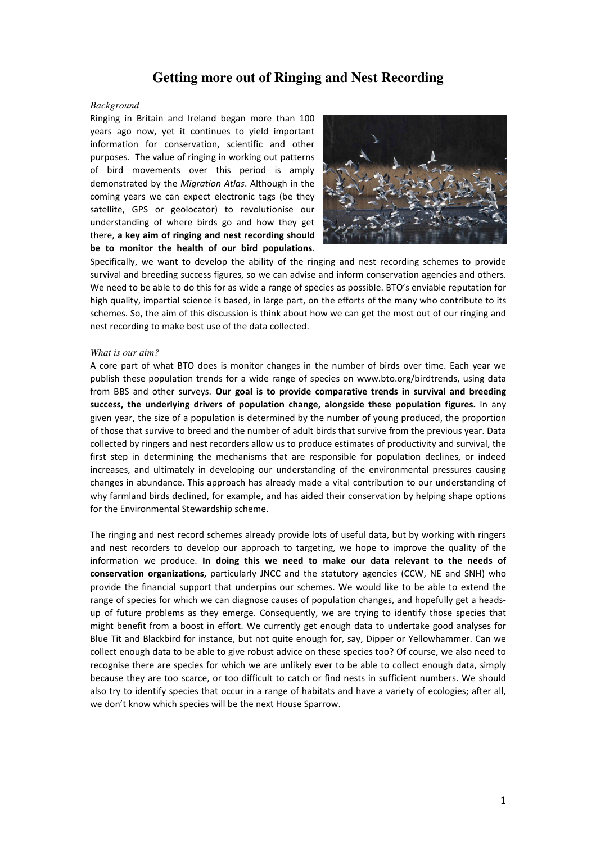# **Getting more out of Ringing and Nest Recording**

## *Background*

Ringing in Britain and Ireland began more than 100 years ago now, yet it continues to yield important information for conservation, scientific and other purposes. The value of ringing in working out patterns of bird movements over this period is amply demonstrated by the *Migration Atlas*. Although in the coming years we can expect electronic tags (be they satellite, GPS or geolocator) to revolutionise our understanding of where birds go and how they get there, **a key aim of ringing and nest recording should be to monitor the health of our bird populations**.



Specifically, we want to develop the ability of the ringing and nest recording schemes to provide survival and breeding success figures, so we can advise and inform conservation agencies and others. We need to be able to do this for as wide a range of species as possible. BTO's enviable reputation for high quality, impartial science is based, in large part, on the efforts of the many who contribute to its schemes. So, the aim of this discussion is think about how we can get the most out of our ringing and nest recording to make best use of the data collected.

### *What is our aim?*

A core part of what BTO does is monitor changes in the number of birds over time. Each year we publish these population trends for a wide range of species on www.bto.org/birdtrends, using data from BBS and other surveys. **Our goal is to provide comparative trends in survival and breeding success, the underlying drivers of population change, alongside these population figures.** In any given year, the size of a population is determined by the number of young produced, the proportion of those that survive to breed and the number of adult birds that survive from the previous year. Data collected by ringers and nest recorders allow us to produce estimates of productivity and survival, the first step in determining the mechanisms that are responsible for population declines, or indeed increases, and ultimately in developing our understanding of the environmental pressures causing changes in abundance. This approach has already made a vital contribution to our understanding of why farmland birds declined, for example, and has aided their conservation by helping shape options for the Environmental Stewardship scheme.

The ringing and nest record schemes already provide lots of useful data, but by working with ringers and nest recorders to develop our approach to targeting, we hope to improve the quality of the information we produce. **In doing this we need to make our data relevant to the needs of conservation organizations,** particularly JNCC and the statutory agencies (CCW, NE and SNH) who provide the financial support that underpins our schemes. We would like to be able to extend the range of species for which we can diagnose causes of population changes, and hopefully get a headsup of future problems as they emerge. Consequently, we are trying to identify those species that might benefit from a boost in effort. We currently get enough data to undertake good analyses for Blue Tit and Blackbird for instance, but not quite enough for, say, Dipper or Yellowhammer. Can we collect enough data to be able to give robust advice on these species too? Of course, we also need to recognise there are species for which we are unlikely ever to be able to collect enough data, simply because they are too scarce, or too difficult to catch or find nests in sufficient numbers. We should also try to identify species that occur in a range of habitats and have a variety of ecologies; after all, we don't know which species will be the next House Sparrow.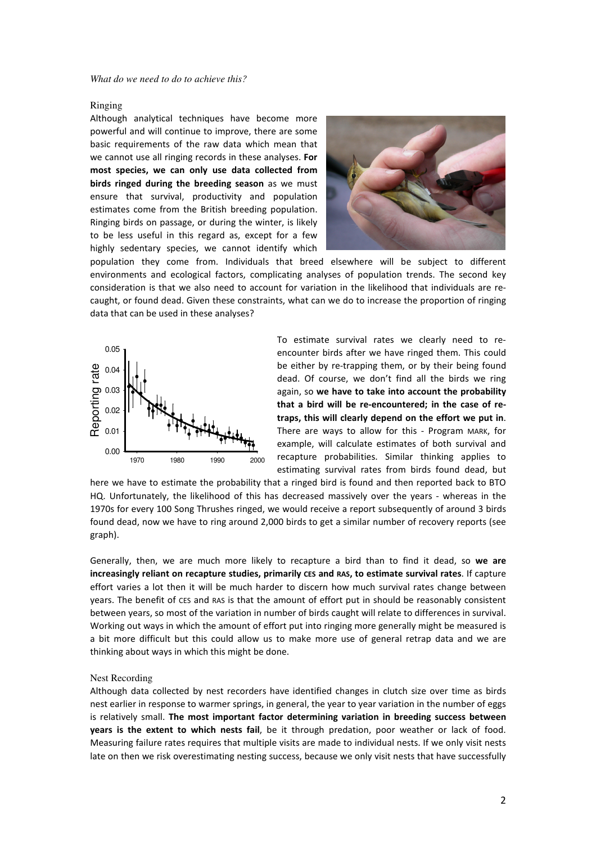## Ringing

Although analytical techniques have become more powerful and will continue to improve, there are some basic requirements of the raw data which mean that we cannot use all ringing records in these analyses. **For most species, we can only use data collected from birds ringed during the breeding season** as we must ensure that survival, productivity and population estimates come from the British breeding population. Ringing birds on passage, or during the winter, is likely to be less useful in this regard as, except for a few highly sedentary species, we cannot identify which



population they come from. Individuals that breed elsewhere will be subject to different environments and ecological factors, complicating analyses of population trends. The second key consideration is that we also need to account for variation in the likelihood that individuals are recaught, or found dead. Given these constraints, what can we do to increase the proportion of ringing data that can be used in these analyses?



To estimate survival rates we clearly need to reencounter birds after we have ringed them. This could be either by re-trapping them, or by their being found dead. Of course, we don't find all the birds we ring again, so **we have to take into account the probability that a bird will be re-encountered; in the case of retraps, this will clearly depend on the effort we put in**. There are ways to allow for this - Program MARK, for example, will calculate estimates of both survival and recapture probabilities. Similar thinking applies to estimating survival rates from birds found dead, but

here we have to estimate the probability that a ringed bird is found and then reported back to BTO HQ. Unfortunately, the likelihood of this has decreased massively over the years - whereas in the 1970s for every 100 Song Thrushes ringed, we would receive a report subsequently of around 3 birds found dead, now we have to ring around 2,000 birds to get a similar number of recovery reports (see graph).

Generally, then, we are much more likely to recapture a bird than to find it dead, so **we are increasingly reliant on recapture studies, primarily CES and RAS, to estimate survival rates**. If capture effort varies a lot then it will be much harder to discern how much survival rates change between years. The benefit of CES and RAS is that the amount of effort put in should be reasonably consistent between years, so most of the variation in number of birds caught will relate to differences in survival. Working out ways in which the amount of effort put into ringing more generally might be measured is a bit more difficult but this could allow us to make more use of general retrap data and we are thinking about ways in which this might be done.

#### Nest Recording

Although data collected by nest recorders have identified changes in clutch size over time as birds nest earlier in response to warmer springs, in general, the year to year variation in the number of eggs is relatively small. **The most important factor determining variation in breeding success between years is the extent to which nests fail**, be it through predation, poor weather or lack of food. Measuring failure rates requires that multiple visits are made to individual nests. If we only visit nests late on then we risk overestimating nesting success, because we only visit nests that have successfully